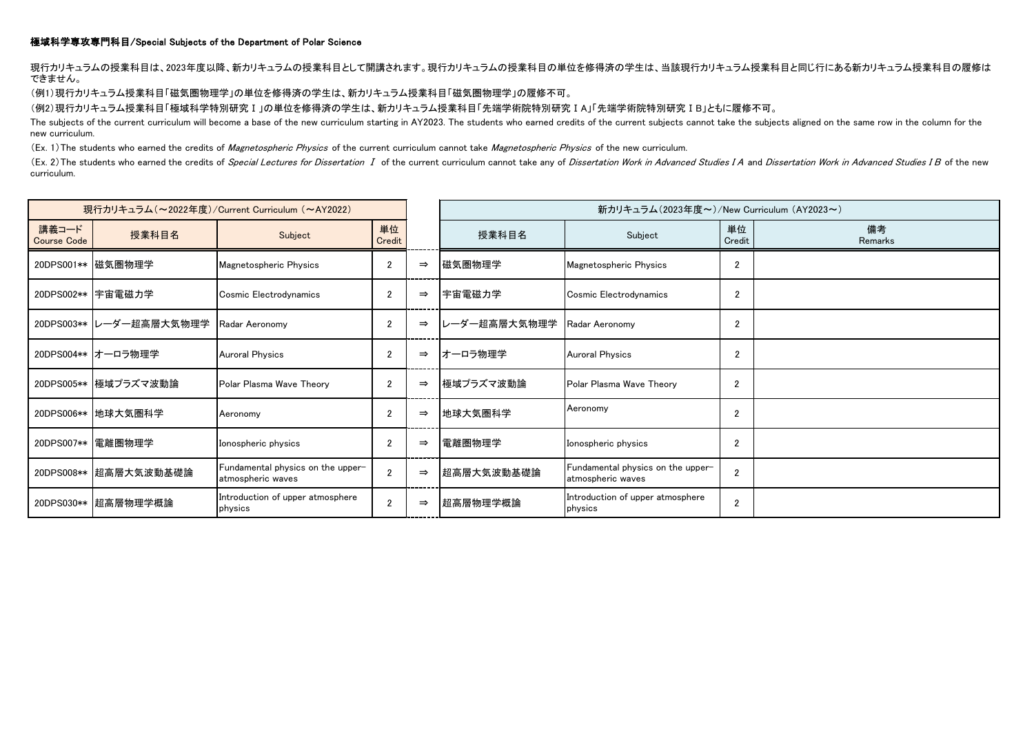## 極域科学専攻専門科目/Special Subjects of the Department of Polar Science

現行カリキュラムの授業科目は、2023年度以降、新カリキュラムの授業科目として開講されます。現行カリキュラムの授業科目の単位を修得済の学生は、当該現行カリキュラム授業科目と同じ行にある新カリキュラム授業科目の履修は できません。

(例1)現行カリキュラム授業科目「磁気圏物理学」の単位を修得済の学生は、新カリキュラム授業科目「磁気圏物理学」の履修不可。

(例2)現行カリキュラム授業科目「極域科学特別研究Ⅰ」の単位を修得済の学生は、新カリキュラム授業科目「先端学術院特別研究ⅠA」「先端学術院特別研究ⅠB」ともに履修不可。

The subjects of the current curriculum will become a base of the new curriculum starting in AY2023. The students who earned credits of the current subjects cannot take the subjects aligned on the same row in the column for new curriculum.

(Ex. 1) The students who earned the credits of *Magnetospheric Physics* of the current curriculum cannot take *Magnetospheric Physics* of the new curriculum.

(Ex. 2) The students who earned the credits of Special Lectures for Dissertation I of the current curriculum cannot take any of Dissertation Work in Advanced Studies IA and Dissertation Work in Advanced Studies I B of the curriculum.

| 現行カリキュラム (~2022年度) / Current Curriculum (~AY2022) |                         |                                                        |                |               |              | 新カリキュラム(2023年度~)/New Curriculum (AY2023~)              |                |               |
|---------------------------------------------------|-------------------------|--------------------------------------------------------|----------------|---------------|--------------|--------------------------------------------------------|----------------|---------------|
| 講義コード<br><b>Course Code</b>                       | 授業科目名                   | Subject                                                | 単位<br>Credit   |               | 授業科目名        | Subject                                                | 単位<br>Credit   | 備考<br>Remarks |
|                                                   | 20DPS001**  磁気圏物理学      | Magnetospheric Physics                                 | 2              | $\Rightarrow$ | 磁気圏物理学       | Magnetospheric Physics                                 | $\overline{2}$ |               |
|                                                   | 20DPS002** 宇宙電磁力学       | Cosmic Electrodynamics                                 | 2              | $\Rightarrow$ | 宇宙電磁力学       | Cosmic Electrodynamics                                 | $\overline{2}$ |               |
|                                                   | 20DPS003** レーダー超高層大気物理学 | Radar Aeronomy                                         | 2              | $\Rightarrow$ | レーダー超高層大気物理学 | Radar Aeronomy                                         | $\overline{2}$ |               |
|                                                   | 20DPS004** オーロラ物理学      | <b>Auroral Physics</b>                                 | $\mathfrak{p}$ | $\Rightarrow$ | オーロラ物理学      | <b>Auroral Physics</b>                                 | $\overline{2}$ |               |
|                                                   | 20DPS005** 極域プラズマ波動論    | Polar Plasma Wave Theory                               | $\mathfrak{p}$ | $\Rightarrow$ | 極域プラズマ波動論    | Polar Plasma Wave Theory                               | $\overline{2}$ |               |
|                                                   | 20DPS006** 地球大気圏科学      | Aeronomy                                               | 2              | $\Rightarrow$ | 地球大気圏科学      | Aeronomy                                               | $\overline{2}$ |               |
| 20DPS007**                                        | 電離圏物理学                  | Ionospheric physics                                    | $\overline{2}$ | $\Rightarrow$ | 電離圏物理学       | Ionospheric physics                                    | $\overline{2}$ |               |
| 20DPS008**                                        | 超高層大気波動基礎論              | Fundamental physics on the upper-<br>atmospheric waves |                | $\Rightarrow$ | ▌超高層大気波動基礎論  | Fundamental physics on the upper-<br>atmospheric waves | $\overline{2}$ |               |
| 20DPS030**                                        | 超高層物理学概論                | Introduction of upper atmosphere<br>physics            | $\overline{2}$ | $\Rightarrow$ | 超高層物理学概論     | Introduction of upper atmosphere<br>physics            | $\overline{2}$ |               |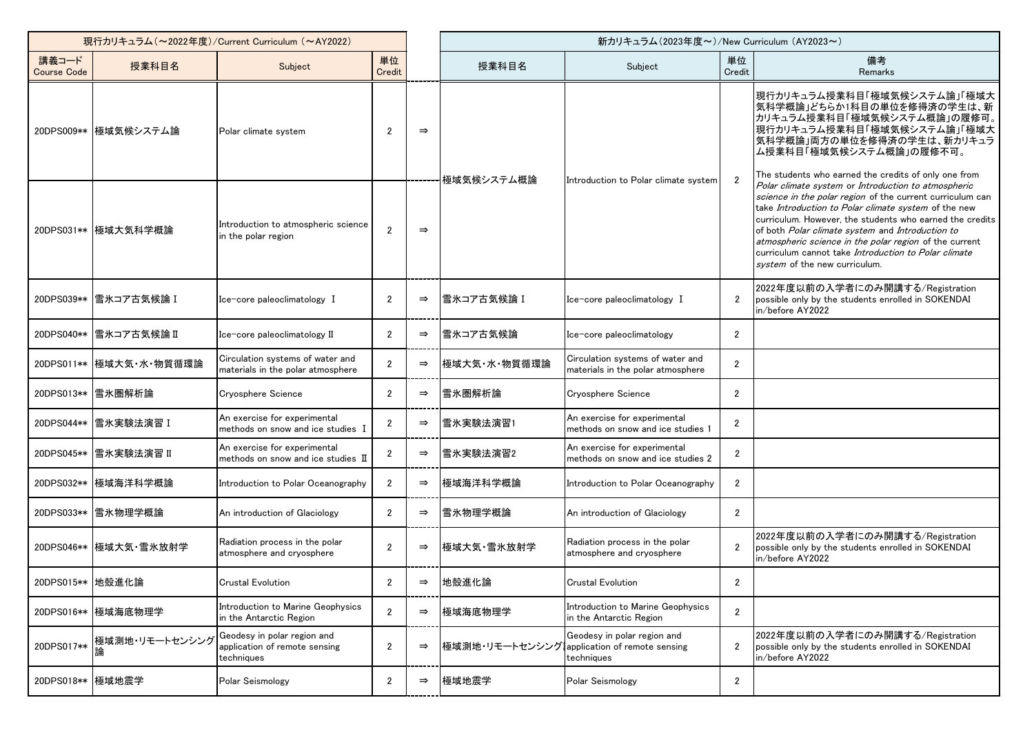| 現行カリキュラム (~2022年度)/Current Curriculum (~AY2022) |                      |                                                                            |                       |               | 新カリキュラム(2023年度~)/New Curriculum (AY2023~) |                                                                            |                |                                                                                                                                                                                                                                                                                                                                                                                                                                                    |
|-------------------------------------------------|----------------------|----------------------------------------------------------------------------|-----------------------|---------------|-------------------------------------------|----------------------------------------------------------------------------|----------------|----------------------------------------------------------------------------------------------------------------------------------------------------------------------------------------------------------------------------------------------------------------------------------------------------------------------------------------------------------------------------------------------------------------------------------------------------|
| 講義コード<br><b>Course Code</b>                     | 授業科目名                | Subject                                                                    | 単位<br>Credit          |               | 授業科目名                                     | Subject                                                                    | 単位<br>Credit   | 備考<br>Remarks                                                                                                                                                                                                                                                                                                                                                                                                                                      |
|                                                 | 20DPS009** 極域気候システム論 | Polar climate system                                                       | $\overline{2}$        | $\Rightarrow$ | 極域気候システム概論                                | Introduction to Polar climate system                                       | $\overline{2}$ | 現行カリキュラム授業科目「極域気候システム論」「極域大<br> 気科学概論」どちらか1科目の単位を修得済の学生は、新<br>カリキュラム授業科目「極域気候システム概論」の履修可。<br> 現行カリキュラム授業科目「極域気候システム論」「極域大<br> 気科学概論」両方の単位を修得済の学生は、新カリキュラ<br>ム授業科目「極域気候システム概論」の履修不可。<br>The students who earned the credits of only one from                                                                                                                                                                                                        |
|                                                 | 20DPS031** 極域大気科学概論  | Introduction to atmospheric science<br>in the polar region                 | $\overline{2}$        | $\Rightarrow$ |                                           |                                                                            |                | Polar climate system or Introduction to atmospheric<br>science in the polar region of the current curriculum can<br>take Introduction to Polar climate system of the new<br>curriculum. However, the students who earned the credits<br>of both Polar climate system and Introduction to<br>atmospheric science in the polar region of the current<br>curriculum cannot take <i>Introduction to Polar climate</i><br>system of the new curriculum. |
| 20DPS039**                                      | 雪氷コア古気候論 I           | Ice-core paleoclimatology I                                                | $\overline{2}$        | $\Rightarrow$ | 雪氷コア古気候論 I                                | Ice-core paleoclimatology I                                                | $\overline{2}$ | 2022年度以前の入学者にのみ開講する/Registration<br>possible only by the students enrolled in SOKENDAI<br>in/before AY2022                                                                                                                                                                                                                                                                                                                                         |
| 20DPS040**                                      | 雪氷コア古気候論Ⅱ            | Ice-core paleoclimatology II                                               | $\overline{2}$        | $\Rightarrow$ | 雪氷コア古気候論                                  | Ice-core paleoclimatology                                                  | $\overline{2}$ |                                                                                                                                                                                                                                                                                                                                                                                                                                                    |
| 20DPS011**                                      | 極域大気·水·物質循環論         | Circulation systems of water and<br>materials in the polar atmosphere      | $\mathfrak{p}$        | $\Rightarrow$ | 極域大気·水·物質循環論                              | Circulation systems of water and<br>materials in the polar atmosphere      | $\overline{2}$ |                                                                                                                                                                                                                                                                                                                                                                                                                                                    |
|                                                 | 20DPS013** 雪氷圏解析論    | <b>Cryosphere Science</b>                                                  | $\overline{2}$        | $\Rightarrow$ | 雪氷圏解析論                                    | <b>Cryosphere Science</b>                                                  | $\overline{2}$ |                                                                                                                                                                                                                                                                                                                                                                                                                                                    |
| 20DPS044**                                      | 雪氷実験法演習 I            | An exercise for experimental<br>methods on snow and ice studies I          | $\overline{2}$        | $\Rightarrow$ | 雪氷実験法演習1                                  | An exercise for experimental<br>methods on snow and ice studies 1          | $\overline{2}$ |                                                                                                                                                                                                                                                                                                                                                                                                                                                    |
| 20DPS045**                                      | 雪氷実験法演習 II           | An exercise for experimental<br>methods on snow and ice studies II         | $\overline{2}$        | $\Rightarrow$ | 雪氷実験法演習2                                  | An exercise for experimental<br>methods on snow and ice studies 2          | $\overline{2}$ |                                                                                                                                                                                                                                                                                                                                                                                                                                                    |
| 20DPS032**                                      | 極域海洋科学概論             | Introduction to Polar Oceanography                                         | $\mathbf{2}^{\prime}$ | $\Rightarrow$ | 極域海洋科学概論                                  | Introduction to Polar Oceanography                                         | $\overline{2}$ |                                                                                                                                                                                                                                                                                                                                                                                                                                                    |
|                                                 | 20DPS033**  雪氷物理学概論  | An introduction of Glaciology                                              | $\overline{2}$        | $\Rightarrow$ | 雪氷物理学概論                                   | An introduction of Glaciology                                              | $\mathbf{2}$   |                                                                                                                                                                                                                                                                                                                                                                                                                                                    |
| 20DPS046**                                      | 極域大気·雪氷放射学           | Radiation process in the polar<br>atmosphere and cryosphere                | $\overline{2}$        | $\Rightarrow$ | 極域大気·雪氷放射学                                | Radiation process in the polar<br>atmosphere and cryosphere                | $\overline{2}$ | 2022年度以前の入学者にのみ開講する/Registration<br>possible only by the students enrolled in SOKENDAI<br>in/before AY2022                                                                                                                                                                                                                                                                                                                                         |
| 20DPS015** 地殻進化論                                |                      | <b>Crustal Evolution</b>                                                   | $\overline{2}$        | $\Rightarrow$ | 地殻進化論                                     | <b>Crustal Evolution</b>                                                   | $\overline{2}$ |                                                                                                                                                                                                                                                                                                                                                                                                                                                    |
|                                                 | 20DPS016** 極域海底物理学   | Introduction to Marine Geophysics<br>in the Antarctic Region               | $\overline{2}$        | $\Rightarrow$ | 極域海底物理学                                   | Introduction to Marine Geophysics<br>in the Antarctic Region               | $\overline{2}$ |                                                                                                                                                                                                                                                                                                                                                                                                                                                    |
| 20DPS017**                                      | 極域測地・リモートセンシンク       | Geodesy in polar region and<br>application of remote sensing<br>techniques | $\overline{2}$        | $\Rightarrow$ | 極域測地・リモートセンシング                            | Geodesy in polar region and<br>application of remote sensing<br>techniques | $\mathbf{2}$   | 2022年度以前の入学者にのみ開講する/Registration<br>possible only by the students enrolled in SOKENDAI<br>in/before AY2022                                                                                                                                                                                                                                                                                                                                         |
| 20DPS018** 極域地震学                                |                      | Polar Seismology                                                           | $\mathbf{2}$          | $\Rightarrow$ | 極域地震学                                     | Polar Seismology                                                           | $\mathbf{2}$   |                                                                                                                                                                                                                                                                                                                                                                                                                                                    |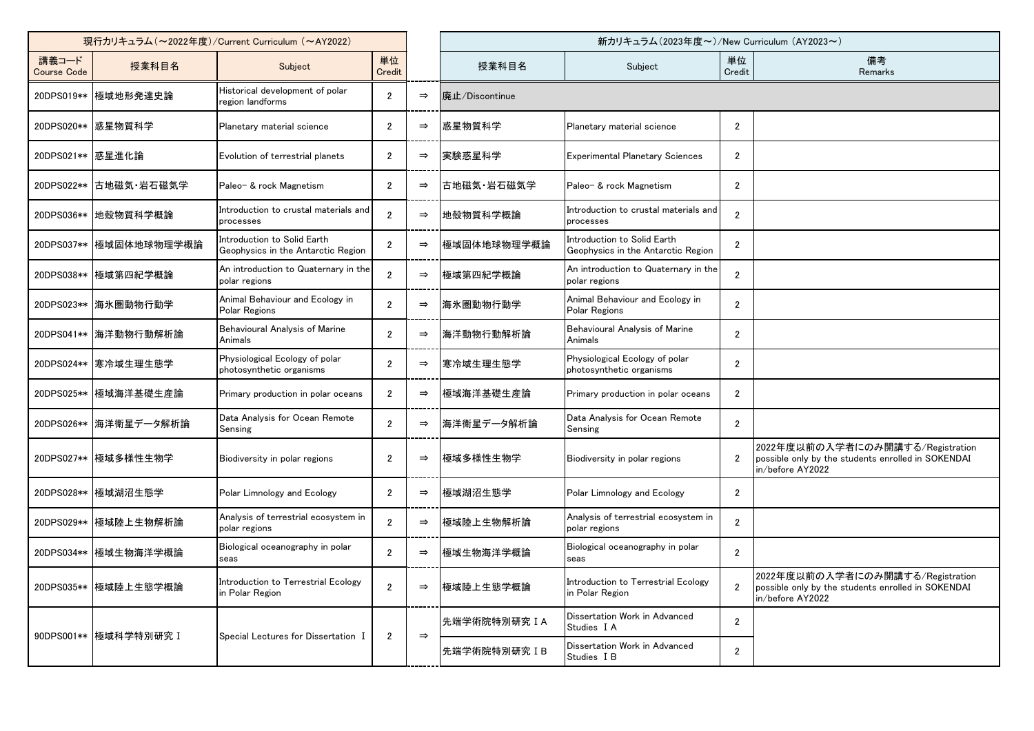| 現行カリキュラム (~2022年度)/Current Curriculum (~AY2022) |                         |                                                                   |                |               | 新カリキュラム(2023年度~)/New Curriculum (AY2023~) |                                                                   |                         |                                                                                                            |
|-------------------------------------------------|-------------------------|-------------------------------------------------------------------|----------------|---------------|-------------------------------------------|-------------------------------------------------------------------|-------------------------|------------------------------------------------------------------------------------------------------------|
| 講義コード<br><b>Course Code</b>                     | 授業科目名                   | Subject                                                           | 単位<br>Credit   |               | 授業科目名                                     | Subject                                                           | 単位<br>Credit            | 備考<br>Remarks                                                                                              |
|                                                 | 20DPS019** 極域地形発達史論     | Historical development of polar<br>region landforms               | $\overline{2}$ | $\Rightarrow$ | 廃止/Discontinue                            |                                                                   |                         |                                                                                                            |
|                                                 | 20DPS020** 感星物質科学       | Planetary material science                                        | 2              | $\Rightarrow$ | 惑星物質科学                                    | Planetary material science                                        | $\overline{2}$          |                                                                                                            |
| 20DPS021** 感星進化論                                |                         | Evolution of terrestrial planets                                  | $\overline{2}$ | $\Rightarrow$ | 実験惑星科学                                    | <b>Experimental Planetary Sciences</b>                            | $\overline{2}$          |                                                                                                            |
|                                                 | 20DPS022**  古地磁気·岩石磁気学  | Paleo- & rock Magnetism                                           | $\overline{2}$ | $\Rightarrow$ | 古地磁気 岩石磁気学                                | Paleo- & rock Magnetism                                           | $\overline{2}$          |                                                                                                            |
|                                                 | 20DPS036** 地殻物質科学概論     | Introduction to crustal materials and<br>processes                | $\mathfrak{p}$ | $\Rightarrow$ | 地殻物質科学概論                                  | Introduction to crustal materials and<br>processes                | $\overline{2}$          |                                                                                                            |
|                                                 | 20DPS037** 極域固体地球物理学概論  | Introduction to Solid Earth<br>Geophysics in the Antarctic Region |                | $\Rightarrow$ | 極域固体地球物理学概論                               | Introduction to Solid Earth<br>Geophysics in the Antarctic Region | $\overline{2}$          |                                                                                                            |
|                                                 | 20DPS038** 極域第四紀学概論     | An introduction to Quaternary in the<br>polar regions             | $\overline{2}$ | $\Rightarrow$ | 極域第四紀学概論                                  | An introduction to Quaternary in the<br>polar regions             | $\overline{2}$          |                                                                                                            |
|                                                 | 20DPS023**   海氷圏動物行動学   | Animal Behaviour and Ecology in<br>Polar Regions                  | $\mathfrak{p}$ | $\Rightarrow$ | 海氷圏動物行動学                                  | Animal Behaviour and Ecology in<br>Polar Regions                  | $\overline{2}$          |                                                                                                            |
|                                                 | 20DPS041** 海洋動物行動解析論    | Behavioural Analysis of Marine<br>Animals                         | $\mathfrak{p}$ | $\Rightarrow$ | 海洋動物行動解析論                                 | Behavioural Analysis of Marine<br>Animals                         | $\overline{2}$          |                                                                                                            |
|                                                 | 20DPS024** 寒冷域生理生態学     | Physiological Ecology of polar<br>photosynthetic organisms        | $\overline{2}$ | $\Rightarrow$ | 寒冷域生理生態学                                  | Physiological Ecology of polar<br>photosynthetic organisms        | $\overline{2}$          |                                                                                                            |
|                                                 | 20DPS025**  極域海洋基礎生産論   | Primary production in polar oceans                                | $\overline{2}$ | $\Rightarrow$ | 極域海洋基礎生産論                                 | Primary production in polar oceans                                | $\overline{2}$          |                                                                                                            |
|                                                 | 20DPS026**   海洋衛星データ解析論 | Data Analysis for Ocean Remote<br>Sensing                         | $\overline{2}$ | $\Rightarrow$ | 海洋衛星データ解析論                                | Data Analysis for Ocean Remote<br>Sensing                         | $\overline{2}$          |                                                                                                            |
|                                                 | 20DPS027** 極域多様性生物学     | Biodiversity in polar regions                                     | $\overline{2}$ | $\Rightarrow$ | 極域多様性生物学                                  | Biodiversity in polar regions                                     | $\overline{2}$          | 2022年度以前の入学者にのみ開講する/Registration<br>possible only by the students enrolled in SOKENDAI<br>in/before AY2022 |
|                                                 | 20DPS028** 極域湖沼生態学      | Polar Limnology and Ecology                                       | $\overline{2}$ | $\Rightarrow$ | 極域湖沼生態学                                   | Polar Limnology and Ecology                                       | $\overline{2}$          |                                                                                                            |
|                                                 | 20DPS029** 極域陸上生物解析論    | Analysis of terrestrial ecosystem in<br>polar regions             |                |               | 極域陸上生物解析論                                 | Analysis of terrestrial ecosystem in<br>polar regions             | $\overline{\mathbf{c}}$ |                                                                                                            |
|                                                 | 20DPS034** 極域生物海洋学概論    | Biological oceanography in polar<br>seas                          | $\overline{2}$ | $\Rightarrow$ | 極域生物海洋学概論                                 | Biological oceanography in polar<br>seas                          | $\overline{2}$          |                                                                                                            |
|                                                 | 20DPS035** 極域陸上生態学概論    | Introduction to Terrestrial Ecology<br>in Polar Region            | $\overline{2}$ | $\Rightarrow$ | 極域陸上生態学概論                                 | Introduction to Terrestrial Ecology<br>in Polar Region            | $\overline{2}$          | 2022年度以前の入学者にのみ開講する/Registration<br>possible only by the students enrolled in SOKENDAI<br>in/before AY2022 |
|                                                 | 90DPS001** 極域科学特別研究 I   | Special Lectures for Dissertation I                               | $\overline{2}$ | $\Rightarrow$ | 先端学術院特別研究IA                               | Dissertation Work in Advanced<br>Studies I A                      | $\overline{2}$          |                                                                                                            |
|                                                 |                         |                                                                   |                |               | 先端学術院特別研究IB                               | Dissertation Work in Advanced<br>Studies I B                      | $\overline{2}$          |                                                                                                            |